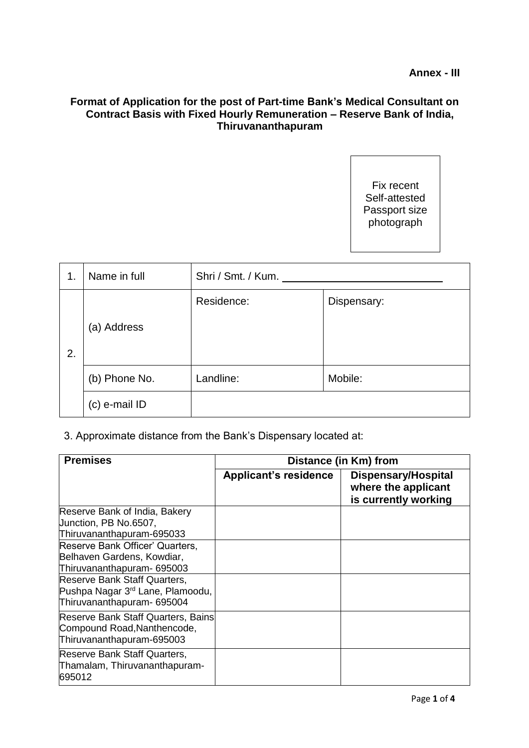## **Format of Application for the post of Part-time Bank's Medical Consultant on Contract Basis with Fixed Hourly Remuneration – Reserve Bank of India, Thiruvananthapuram**

Fix recent Self-attested Passport size photograph

| 1. | Name in full  | Shri / Smt. / Kum. |             |  |
|----|---------------|--------------------|-------------|--|
| 2. | (a) Address   | Residence:         | Dispensary: |  |
|    | (b) Phone No. | Landline:          | Mobile:     |  |
|    | (c) e-mail ID |                    |             |  |

## 3. Approximate distance from the Bank's Dispensary located at:

| <b>Premises</b>                                                                                | Distance (in Km) from        |                                                                           |  |  |  |
|------------------------------------------------------------------------------------------------|------------------------------|---------------------------------------------------------------------------|--|--|--|
|                                                                                                | <b>Applicant's residence</b> | <b>Dispensary/Hospital</b><br>where the applicant<br>is currently working |  |  |  |
| Reserve Bank of India, Bakery                                                                  |                              |                                                                           |  |  |  |
| Junction, PB No.6507,                                                                          |                              |                                                                           |  |  |  |
| Thiruvananthapuram-695033                                                                      |                              |                                                                           |  |  |  |
| Reserve Bank Officer' Quarters,                                                                |                              |                                                                           |  |  |  |
| Belhaven Gardens, Kowdiar,                                                                     |                              |                                                                           |  |  |  |
| Thiruvananthapuram- 695003                                                                     |                              |                                                                           |  |  |  |
| Reserve Bank Staff Quarters,                                                                   |                              |                                                                           |  |  |  |
| Pushpa Nagar 3 <sup>rd</sup> Lane, Plamoodu,                                                   |                              |                                                                           |  |  |  |
| Thiruvananthapuram- 695004                                                                     |                              |                                                                           |  |  |  |
| Reserve Bank Staff Quarters, Bains<br>Compound Road, Nanthencode,<br>Thiruvananthapuram-695003 |                              |                                                                           |  |  |  |
| Reserve Bank Staff Quarters,<br>Thamalam, Thiruvananthapuram-<br>695012                        |                              |                                                                           |  |  |  |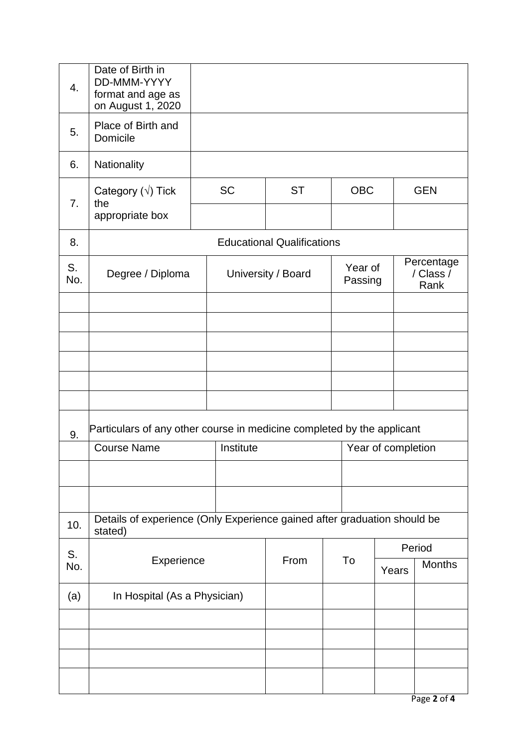| 4.        | Date of Birth in<br>DD-MMM-YYYY<br>format and age as<br>on August 1, 2020           |  |                    |           |    |                    |                    |                                 |  |
|-----------|-------------------------------------------------------------------------------------|--|--------------------|-----------|----|--------------------|--------------------|---------------------------------|--|
| 5.        | Place of Birth and<br>Domicile                                                      |  |                    |           |    |                    |                    |                                 |  |
| 6.        | Nationality                                                                         |  |                    |           |    |                    |                    |                                 |  |
| 7.        | Category $(\sqrt{})$ Tick<br>the                                                    |  | <b>SC</b>          | <b>ST</b> |    | <b>OBC</b>         |                    | <b>GEN</b>                      |  |
|           | appropriate box                                                                     |  |                    |           |    |                    |                    |                                 |  |
| 8.        | <b>Educational Qualifications</b>                                                   |  |                    |           |    |                    |                    |                                 |  |
| S.<br>No. | Degree / Diploma                                                                    |  | University / Board |           |    | Year of<br>Passing |                    | Percentage<br>/ Class /<br>Rank |  |
|           |                                                                                     |  |                    |           |    |                    |                    |                                 |  |
|           |                                                                                     |  |                    |           |    |                    |                    |                                 |  |
|           |                                                                                     |  |                    |           |    |                    |                    |                                 |  |
|           |                                                                                     |  |                    |           |    |                    |                    |                                 |  |
|           |                                                                                     |  |                    |           |    |                    |                    |                                 |  |
| 9.        | Particulars of any other course in medicine completed by the applicant              |  |                    |           |    |                    |                    |                                 |  |
|           | <b>Course Name</b>                                                                  |  | Institute          |           |    |                    | Year of completion |                                 |  |
|           |                                                                                     |  |                    |           |    |                    |                    |                                 |  |
|           |                                                                                     |  |                    |           |    |                    |                    |                                 |  |
| 10.       | Details of experience (Only Experience gained after graduation should be<br>stated) |  |                    |           |    |                    |                    |                                 |  |
| S.        | Experience                                                                          |  | From               |           | To |                    | Period             |                                 |  |
| No.       |                                                                                     |  |                    |           |    | Years              | <b>Months</b>      |                                 |  |
| (a)       | In Hospital (As a Physician)                                                        |  |                    |           |    |                    |                    |                                 |  |
|           |                                                                                     |  |                    |           |    |                    |                    |                                 |  |
|           |                                                                                     |  |                    |           |    |                    |                    |                                 |  |
|           |                                                                                     |  |                    |           |    |                    |                    |                                 |  |
|           |                                                                                     |  |                    |           |    |                    |                    |                                 |  |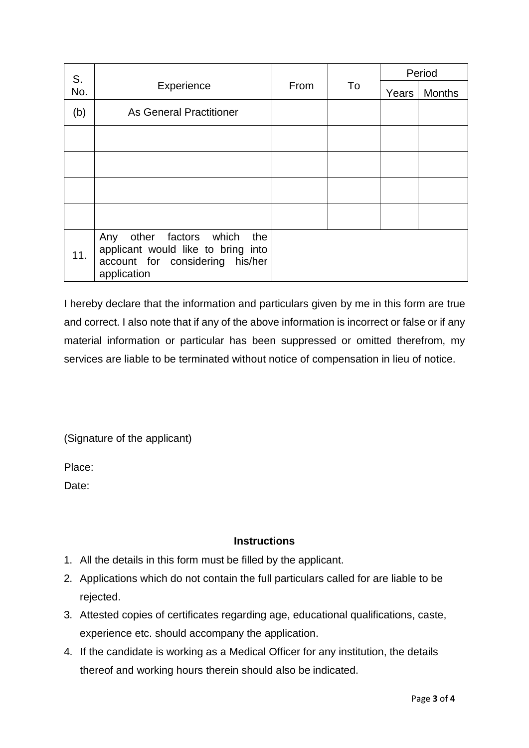| S.<br>No. |                                                                                                                           | From | To | Period |               |
|-----------|---------------------------------------------------------------------------------------------------------------------------|------|----|--------|---------------|
|           | Experience                                                                                                                |      |    | Years  | <b>Months</b> |
| (b)       | <b>As General Practitioner</b>                                                                                            |      |    |        |               |
|           |                                                                                                                           |      |    |        |               |
|           |                                                                                                                           |      |    |        |               |
|           |                                                                                                                           |      |    |        |               |
|           |                                                                                                                           |      |    |        |               |
| 11.       | other factors which<br>the<br>Any<br>applicant would like to bring into<br>account for considering his/her<br>application |      |    |        |               |

I hereby declare that the information and particulars given by me in this form are true and correct. I also note that if any of the above information is incorrect or false or if any material information or particular has been suppressed or omitted therefrom, my services are liable to be terminated without notice of compensation in lieu of notice.

(Signature of the applicant)

Place:

Date:

## **Instructions**

- 1. All the details in this form must be filled by the applicant.
- 2. Applications which do not contain the full particulars called for are liable to be rejected.
- 3. Attested copies of certificates regarding age, educational qualifications, caste, experience etc. should accompany the application.
- 4. If the candidate is working as a Medical Officer for any institution, the details thereof and working hours therein should also be indicated.